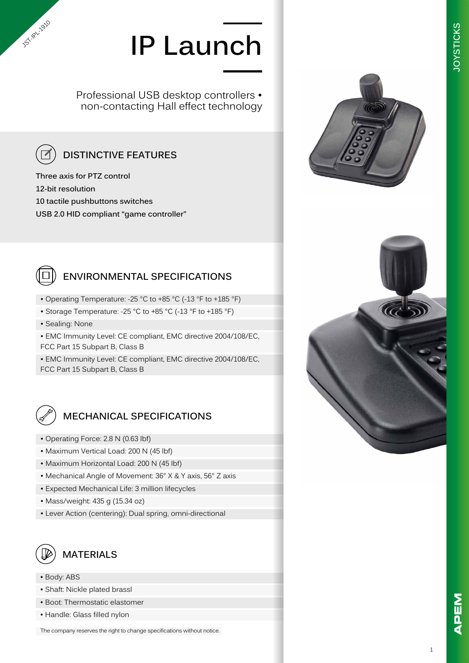# **IP Launch**

Professional USB desktop controllers • non-contacting Hall effect technology



**JST-IPL-1910** 

### **DISTINCTIVE FEATURES**

**Three axis for PTZ control 12-bit resolution 10 tactile pushbuttons switches USB 2.0 HID compliant "game controller"**



#### **ENVIRONMENTAL SPECIFICATIONS**

- Operating Temperature: -25 °C to +85 °C (-13 °F to +185 °F)
- Storage Temperature: -25 °C to +85 °C (-13 °F to +185 °F)
- Sealing: None

• EMC Immunity Level: CE compliant, EMC directive 2004/108/EC, FCC Part 15 Subpart B, Class B

• EMC Immunity Level: CE compliant, EMC directive 2004/108/EC, FCC Part 15 Subpart B, Class B



#### **MECHANICAL SPECIFICATIONS**

- Operating Force: 2.8 N (0.63 lbf)
- Maximum Vertical Load: 200 N (45 lbf)
- Maximum Horizontal Load: 200 N (45 lbf)
- Mechanical Angle of Movement: 36° X & Y axis, 56° Z axis
- Expected Mechanical Life: 3 million lifecycles
- Mass/weight: 435 g (15.34 oz)
- Lever Action (centering): Dual spring, omni-directional



- Body: ABS
- Shaft: Nickle plated brassl
- Boot: Thermostatic elastomer
- Handle: Glass filled nylon

The company reserves the right to change specifications without notice.



**JOYSTICKS**

**OYSTICKS**